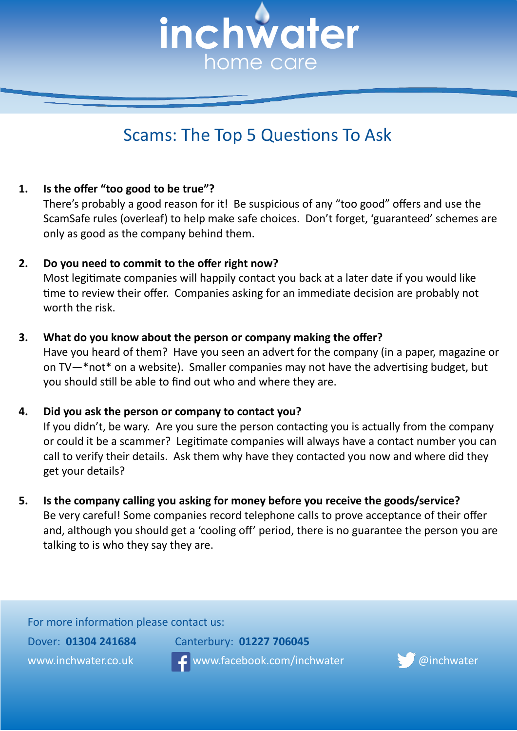

# Scams: The Top 5 Questions To Ask

## **1. Is the offer "too good to be true"?**

There's probably a good reason for it! Be suspicious of any "too good" offers and use the ScamSafe rules (overleaf) to help make safe choices. Don't forget, 'guaranteed' schemes are only as good as the company behind them.

## **2. Do you need to commit to the offer right now?**

Most legitimate companies will happily contact you back at a later date if you would like time to review their offer. Companies asking for an immediate decision are probably not worth the risk.

#### **3. What do you know about the person or company making the offer?**

Have you heard of them? Have you seen an advert for the company (in a paper, magazine or on TV—\*not\* on a website). Smaller companies may not have the advertising budget, but you should still be able to find out who and where they are.

#### **4. Did you ask the person or company to contact you?**

If you didn't, be wary. Are you sure the person contacting you is actually from the company or could it be a scammer? Legitimate companies will always have a contact number you can call to verify their details. Ask them why have they contacted you now and where did they get your details?

**5. Is the company calling you asking for money before you receive the goods/service?** Be very careful! Some companies record telephone calls to prove acceptance of their offer and, although you should get a 'cooling off' period, there is no guarantee the person you are talking to is who they say they are.

For more information please contact us:

www.inchwater.co.uk www.facebook.com/inchwater @inchwater



Dover: **01304 241684** Canterbury: **01227 706045**